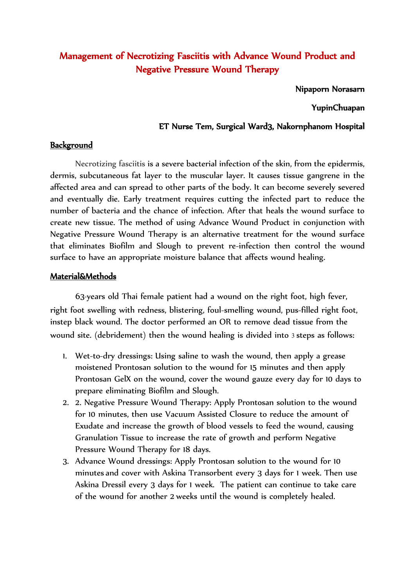# Management of Necrotizing Fasciitis with Advance Wound Product and Negative Pressure Wound Therapy

Nipaporn Norasarn

YupinChuapan

## ET Nurse Tem, Surgical Ward3, Nakornphanom Hospital

### **Background**

Necrotizing fasciitis is a severe bacterial infection of the skin, from the epidermis, dermis, subcutaneous fat layer to the muscular layer. It causes tissue gangrene in the affected area and can spread to other parts of the body. It can become severely severed and eventually die. Early treatment requires cutting the infected part to reduce the number of bacteria and the chance of infection. After that heals the wound surface to create new tissue. The method of using Advance Wound Product in conjunction with Negative Pressure Wound Therapy is an alternative treatment for the wound surface that eliminates Biofilm and Slough to prevent re-infection then control the wound surface to have an appropriate moisture balance that affects wound healing.

### Material&Methods

63-years old Thai female patient had a wound on the right foot, high fever, right foot swelling with redness, blistering, foul-smelling wound, pus-filled right foot, instep black wound. The doctor performed an OR to remove dead tissue from the wound site. (debridement) then the wound healing is divided into 3 steps as follows:

- 1. Wet-to-dry dressings: Using saline to wash the wound, then apply a grease moistened Prontosan solution to the wound for 15 minutes and then apply Prontosan GelX on the wound, cover the wound gauze every day for 10 days to prepare eliminating Biofilm and Slough.
- 2. 2. Negative Pressure Wound Therapy: Apply Prontosan solution to the wound for 10 minutes, then use Vacuum Assisted Closure to reduce the amount of Exudate and increase the growth of blood vessels to feed the wound, causing Granulation Tissue to increase the rate of growth and perform Negative Pressure Wound Therapy for 18 days.
- 3. Advance Wound dressings: Apply Prontosan solution to the wound for 10 minutes and cover with Askina Transorbent every 3 days for 1 week. Then use Askina Dressil every 3 days for 1 week. The patient can continue to take care of the wound for another 2 weeks until the wound is completely healed.